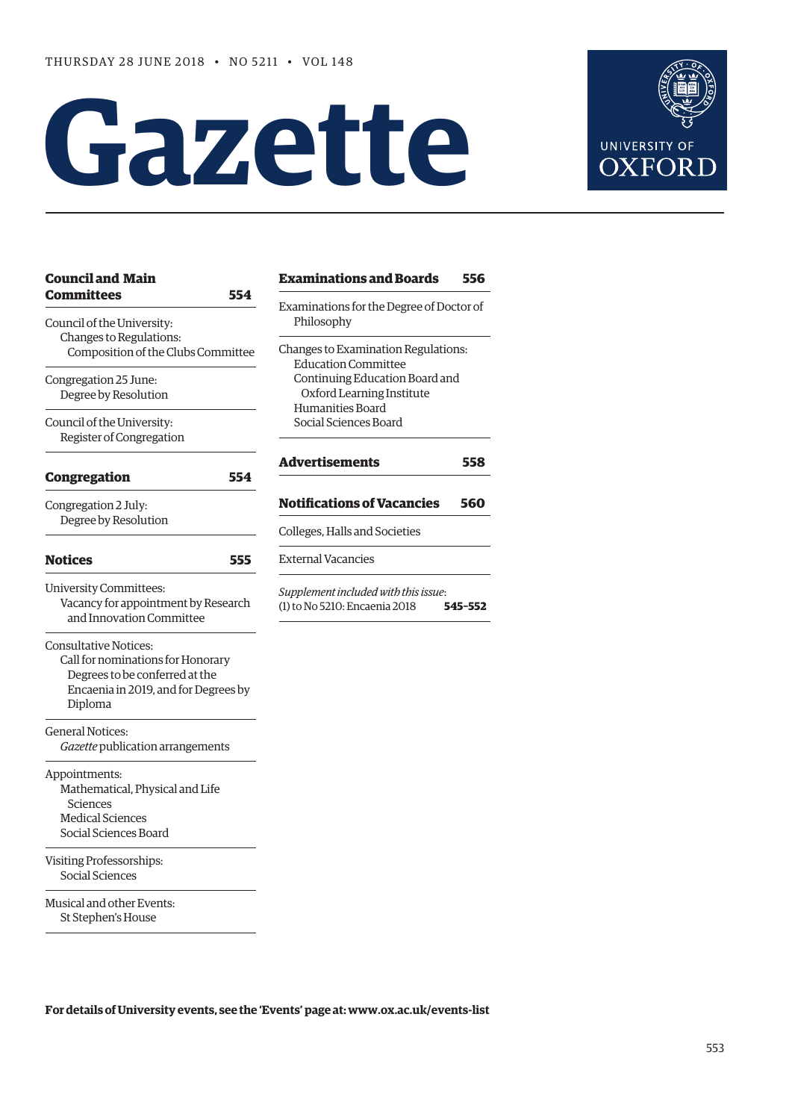# **Gazette**



| <b>Council and Main</b>              | Examinat               |
|--------------------------------------|------------------------|
| <b>Committees</b><br>554             |                        |
| Council of the University:           | Examinatio<br>Philosop |
| Changes to Regulations:              |                        |
| Composition of the Clubs Committee   | Changes to 1           |
|                                      | Educatic               |
| Congregation 25 June:                | Continui               |
| Degree by Resolution                 | Oxford                 |
|                                      | Humanit                |
| Council of the University:           | Social Sc              |
| Register of Congregation             |                        |
| 554<br><b>Congregation</b>           | Advertise              |
|                                      | Notificati             |
| Congregation 2 July:                 |                        |
| Degree by Resolution                 | Colleges, Ha           |
| <b>Notices</b><br>555                | External Va            |
| <b>University Committees:</b>        | <i>Supplement</i>      |
| Vacancy for appointment by Research  | $(1)$ to No 521        |
| and Innovation Committee             |                        |
| Consultative Notices:                |                        |
| Call for nominations for Honorary    |                        |
| Degrees to be conferred at the       |                        |
| Encaenia in 2019, and for Degrees by |                        |
| Diploma                              |                        |
| <b>General Notices:</b>              |                        |
| Gazette publication arrangements     |                        |
| Appointments:                        |                        |
| Mathematical, Physical and Life      |                        |
| Sciences                             |                        |
| <b>Medical Sciences</b>              |                        |
| Social Sciences Board                |                        |
| Visiting Professorships:             |                        |
| Social Sciences                      |                        |
| Musical and other Events:            |                        |
| St Stephen's House                   |                        |

| <b>Examinations and Boards</b>                         | 556        |
|--------------------------------------------------------|------------|
| Examinations for the Degree of Doctor of<br>Philosophy |            |
| Changes to Examination Regulations:                    |            |
| <b>Education Committee</b>                             |            |
| Continuing Education Board and                         |            |
| Oxford Learning Institute                              |            |
| Humanities Board                                       |            |
| Social Sciences Board                                  |            |
|                                                        |            |
| Advertisements<br><b>Notifications of Vacancies</b>    | 558<br>560 |
| Colleges, Halls and Societies                          |            |
| <b>External Vacancies</b>                              |            |
| Supplement included with this issue:                   |            |

**For details of University events, see the 'Events' page at: [www.ox.ac.uk/events-list](http://www.ox.ac.uk/events-list)**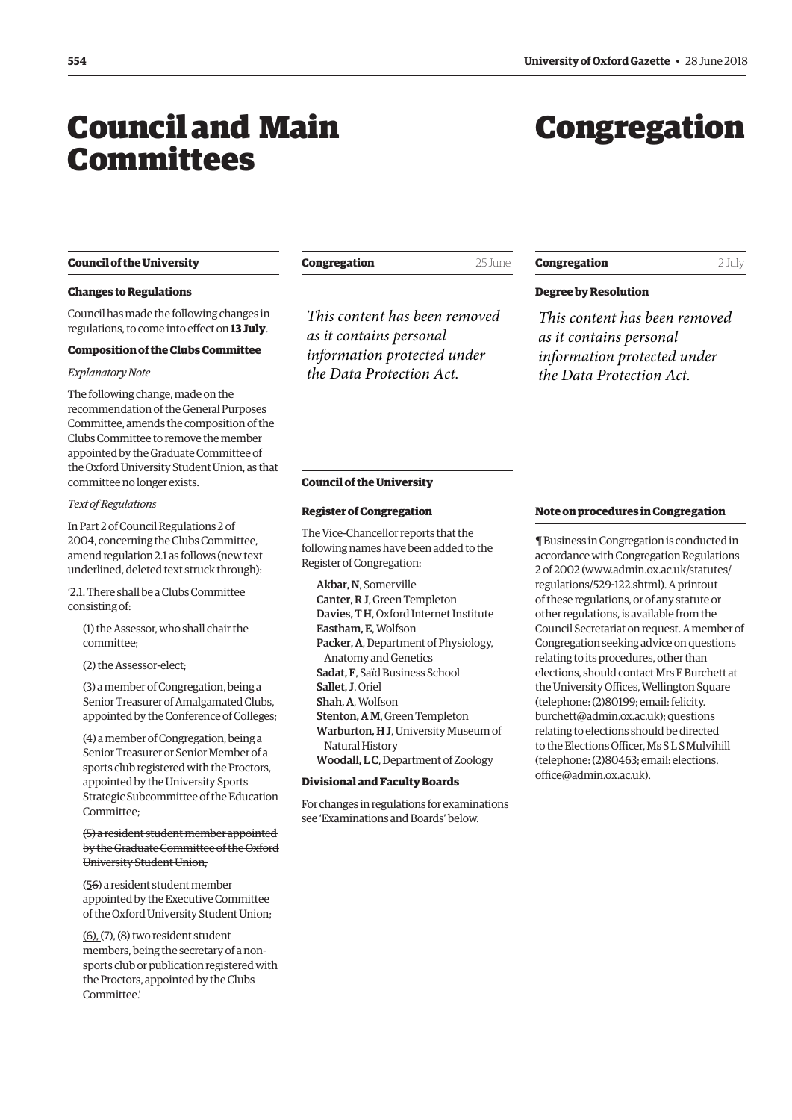## <span id="page-1-0"></span>Council and Main Committees

## Congregation

#### **Council of the University**

#### **Changes to Regulations**

Council has made the following changes in regulations, to come into effect on **13 July**.

#### **Composition of the Clubs Committee**

#### *Explanatory Note*

The following change, made on the recommendation of the General Purposes Committee, amends the composition of the Clubs Committee to remove the member appointed by the Graduate Committee of the Oxford University Student Union, as that committee no longer exists.

#### *Text of Regulations*

In Part 2 of Council Regulations 2 of 2004, concerning the Clubs Committee, amend regulation 2.1 as follows (new text underlined, deleted text struck through):

'2.1. There shall be a Clubs Committee consisting of:

(1) the Assessor, who shall chair the committee;

(2) the Assessor-elect;

(3) a member of Congregation, being a Senior Treasurer of Amalgamated Clubs, appointed by the Conference of Colleges;

(4) a member of Congregation, being a Senior Treasurer or Senior Member of a sports club registered with the Proctors, appointed by the University Sports Strategic Subcommittee of the Education Committee;

(5) a resident student member appointed by the Graduate Committee of the Oxford University Student Union;

(56) a resident student member appointed by the Executive Committee of the Oxford University Student Union;

 $(6)$ ,  $(7)$ <del>,  $(8)$ </del> two resident student members, being the secretary of a nonsports club or publication registered with the Proctors, appointed by the Clubs Committee.'

**Congregation** 25 June

*This content has been removed as it contains personal information protected under the Data Protection Act.*

## **Congregation** 2 July

### **Degree by Resolution**

*This content has been removed as it contains personal information protected under the Data Protection Act.*

#### **Council of the University**

#### **Register of Congregation**

The Vice-Chancellor reports that the following names have been added to the Register of Congregation:

Akbar, N, Somerville Canter, R J, Green Templeton Davies, T H, Oxford Internet Institute Eastham, E, Wolfson Packer, A, Department of Physiology, Anatomy and Genetics Sadat, F, Saïd Business School Sallet, J, Oriel Shah, A, Wolfson Stenton, A M, Green Templeton Warburton, H J, University Museum of Natural History Woodall, L C, Department of Zoology

#### **Divisional and Faculty Boards**

For changes in regulations for examinations see 'Examinations and Boards' below.

#### **Note on procedures in Congregation**

¶ Business in Congregation is conducted in accordance with Congregation Regulations 2 of 2002 [\(www.admin.ox.ac.uk/statutes/](http://www.admin.ox.ac.uk/statutes/regulations/529-122.shtml) [regulations/529-122.shtml\). A p](http://www.admin.ox.ac.uk/statutes/regulations/529-122.shtml)rintout of these regulations, or of any statute or other regulations, is available from the Council Secretariat on request. A member of Congregation seeking advice on questions relating to its procedures, other than elections, should contact Mrs F Burchett at the University Offices, Wellington Square (telephone: (2)80199; email: felicity. [burchett@admin.ox.ac.uk\); questions](mailto:felicity.burchett@admin.ox.ac.uk)  relating to elections should be directed to the Elections Officer, Ms S L S Mulvihill [\(telephone: \(2\)80463; email: elections.](mailto:elections.office@admin.ox.ac.uk) office@admin.ox.ac.uk).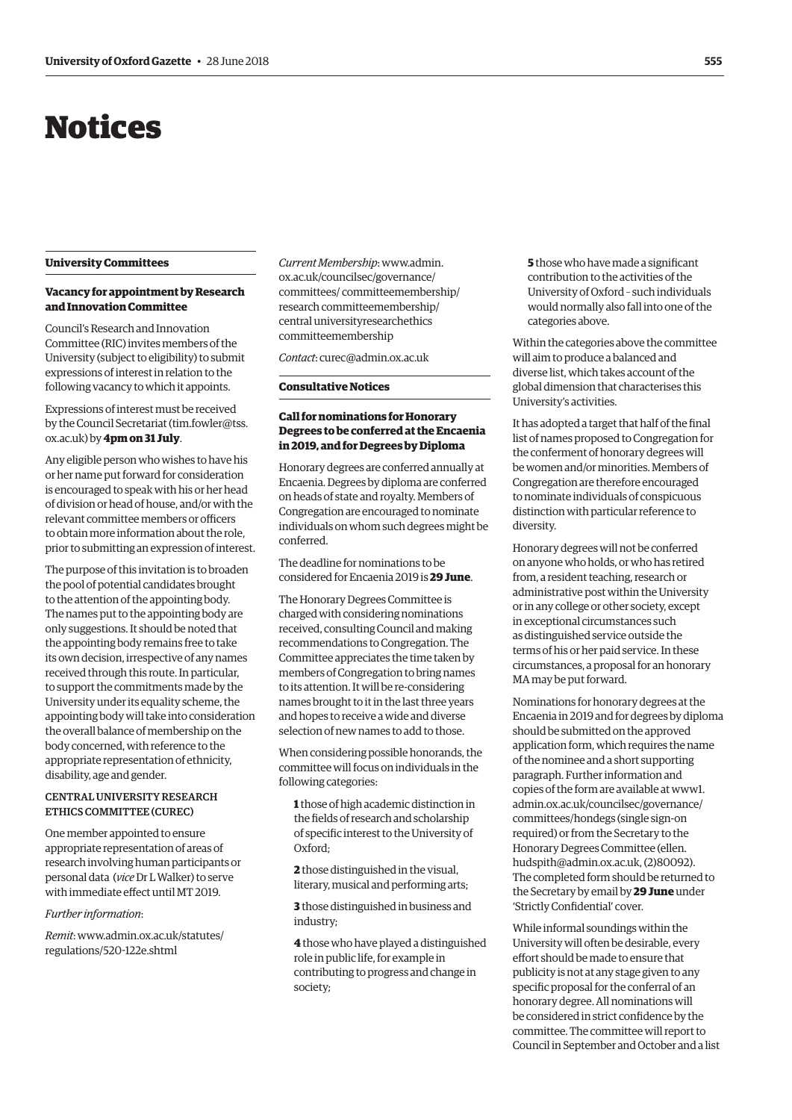# <span id="page-2-0"></span>Notices

#### **University Committees**

#### **Vacancy for appointment by Research and Innovation Committee**

Council's Research and Innovation Committee (RIC) invites members of the University (subject to eligibility) to submit expressions of interest in relation to the following vacancy to which it appoints.

Expressions of interest must be received by the Council Secretariat ([tim.fowler@tss.](mailto:tim.fowler@tss.ox.ac.uk) [ox.ac.uk\) by](mailto:tim.fowler@tss.ox.ac.uk) **4pm on 31 July**.

Any eligible person who wishes to have his or her name put forward for consideration is encouraged to speak with his or her head of division or head of house, and/or with the relevant committee members or officers to obtain more information about the role, prior to submitting an expression of interest.

The purpose of this invitation is to broaden the pool of potential candidates brought to the attention of the appointing body. The names put to the appointing body are only suggestions. It should be noted that the appointing body remains free to take its own decision, irrespective of any names received through this route. In particular, to support the commitments made by the University under its equality scheme, the appointing body will take into consideration the overall balance of membership on the body concerned, with reference to the appropriate representation of ethnicity, disability, age and gender.

#### CENTRAL UNIVERSITY RESEARCH ETHICS COMMITTEE (CUREC)

One member appointed to ensure appropriate representation of areas of research involving human participants or personal data (*vice* Dr L Walker) to serve with immediate effect until MT 2019.

#### *Further information*:

*Remit*[: www.admin.ox.ac.uk/statutes/](www.admin.ox.ac.uk/statutes/regulations/520-122e.shtml) regulations/520-122e.shtml

*Current Membership*: www.admin. ox.ac.uk/councilsec/governance/ [committees/ committeemembership/](www.admin.ox.ac.uk/councilsec/governance/committees/committeemembership/researchcommitteemembership/centraluniversityresearchethicscommitteemembership) research committeemembership/ central universityresearchethics committeemembership

*Contact*: [curec@admin.ox.ac.uk](mailto:curec@admin.ox.ac.uk)

#### **Consultative Notices**

#### **Call for nominations for Honorary Degrees to be conferred at the Encaenia in 2019, and for Degrees by Diploma**

Honorary degrees are conferred annually at Encaenia. Degrees by diploma are conferred on heads of state and royalty. Members of Congregation are encouraged to nominate individuals on whom such degrees might be conferred.

The deadline for nominations to be considered for Encaenia 2019 is **29 June**.

The Honorary Degrees Committee is charged with considering nominations received, consulting Council and making recommendations to Congregation. The Committee appreciates the time taken by members of Congregation to bring names to its attention. It will be re-considering names brought to it in the last three years and hopes to receive a wide and diverse selection of new names to add to those.

When considering possible honorands, the committee will focus on individuals in the following categories:

**1** those of high academic distinction in the fields of research and scholarship of specific interest to the University of Oxford;

**2** those distinguished in the visual, literary, musical and performing arts;

**3** those distinguished in business and industry;

**4** those who have played a distinguished role in public life, for example in contributing to progress and change in society;

**5** those who have made a significant contribution to the activities of the University of Oxford – such individuals would normally also fall into one of the categories above.

Within the categories above the committee will aim to produce a balanced and diverse list, which takes account of the global dimension that characterises this University's activities.

It has adopted a target that half of the final list of names proposed to Congregation for the conferment of honorary degrees will be women and/or minorities. Members of Congregation are therefore encouraged to nominate individuals of conspicuous distinction with particular reference to diversity.

Honorary degrees will not be conferred on anyone who holds, or who has retired from, a resident teaching, research or administrative post within the University or in any college or other society, except in exceptional circumstances such as distinguished service outside the terms of his or her paid service. In these circumstances, a proposal for an honorary MA may be put forward.

Nominations for honorary degrees at the Encaenia in 2019 and for degrees by diploma should be submitted on the approved application form, which requires the name of the nominee and a short supporting paragraph. Further information and [copies of the form are available at www1.](www1.admin.ox.ac.uk/councilsec/governance/committees/hondegs) admin.ox.ac.uk/councilsec/governance/ committees/hondegs (single sign-on required) or from the Secretary to the Honorary Degrees Committee (ellen. [hudspith@admin.ox.ac.uk, \(2\)80092\).](mailto:ellen.hudspith@admin.ox.ac.uk)  The completed form should be returned to the Secretary by email by **29 June** under 'Strictly Confidential' cover.

While informal soundings within the University will often be desirable, every effort should be made to ensure that publicity is not at any stage given to any specific proposal for the conferral of an honorary degree. All nominations will be considered in strict confidence by the committee. The committee will report to Council in September and October and a list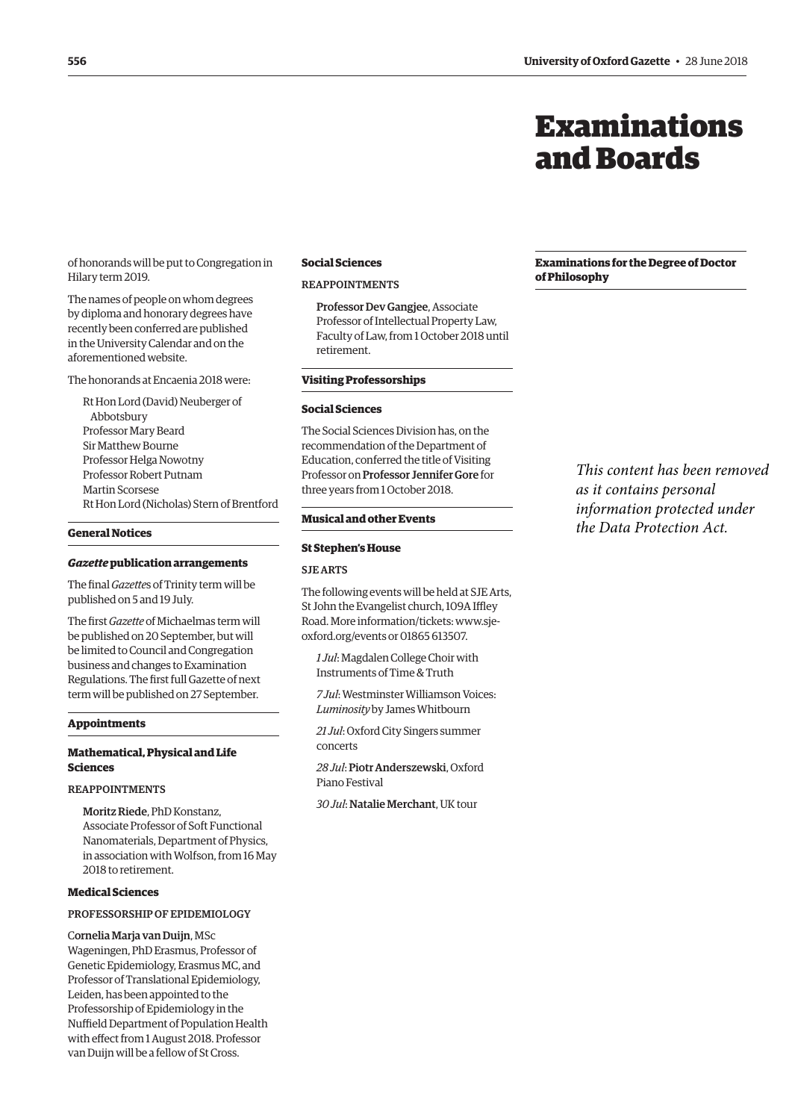## Examinations and Boards

<span id="page-3-0"></span>of honorands will be put to Congregation in Hilary term 2019.

The names of people on whom degrees by diploma and honorary degrees have recently been conferred are published in the University Calendar and on the aforementioned website.

The honorands at Encaenia 2018 were:

Rt Hon Lord (David) Neuberger of Abbotsbury Professor Mary Beard Sir Matthew Bourne Professor Helga Nowotny Professor Robert Putnam Martin Scorsese Rt Hon Lord (Nicholas) Stern of Brentford

#### **General Notices**

#### *Gazette* **publication arrangements**

The final *Gazette*s of Trinity term will be published on 5 and 19 July.

The first *Gazette* of Michaelmas term will be published on 20 September, but will be limited to Council and Congregation business and changes to Examination Regulations. The first full Gazette of next term will be published on 27 September.

#### **Appointments**

#### **Mathematical, Physical and Life Sciences**

#### **REAPPOINTMENTS**

Moritz Riede, PhD Konstanz, Associate Professor of Soft Functional Nanomaterials, Department of Physics, in association with Wolfson, from 16 May 2018 to retirement.

#### **Medical Sciences**

#### PROFESSORSHIP OF EPIDEMIOLOGY

Cornelia Marja van Duijn, MSc Wageningen, PhD Erasmus, Professor of Genetic Epidemiology, Erasmus MC, and Professor of Translational Epidemiology, Leiden, has been appointed to the Professorship of Epidemiology in the Nuffield Department of Population Health with effect from 1 August 2018. Professor van Duijn will be a fellow of St Cross.

#### **Social Sciences**

#### REAPPOINTMENTS

Professor Dev Gangjee, Associate Professor of Intellectual Property Law, Faculty of Law, from 1 October 2018 until retirement.

#### **Visiting Professorships**

#### **Social Sciences**

The Social Sciences Division has, on the recommendation of the Department of Education, conferred the title of Visiting Professor on Professor Jennifer Gore for three years from 1 October 2018.

#### **Musical and other Events**

#### **St Stephen's House**

#### SJE ARTS

The following events will be held at SJE Arts, St John the Evangelist church, 109A Iffley [Road. More information/tickets: www.sje](https://www.sje-oxford.org/events.html)oxford.org/events or 01865 613507.

*1 Jul*: Magdalen College Choir with Instruments of Time & Truth

*7 Jul*: Westminster Williamson Voices: *Luminosity* by James Whitbourn

*21 Jul*: Oxford City Singers summer concerts

*28 Jul*: Piotr Anderszewski, Oxford Piano Festival

*30 Jul*: Natalie Merchant, UK tour

#### **Examinations for the Degree of Doctor of Philosophy**

*This content has been removed as it contains personal information protected under the Data Protection Act.*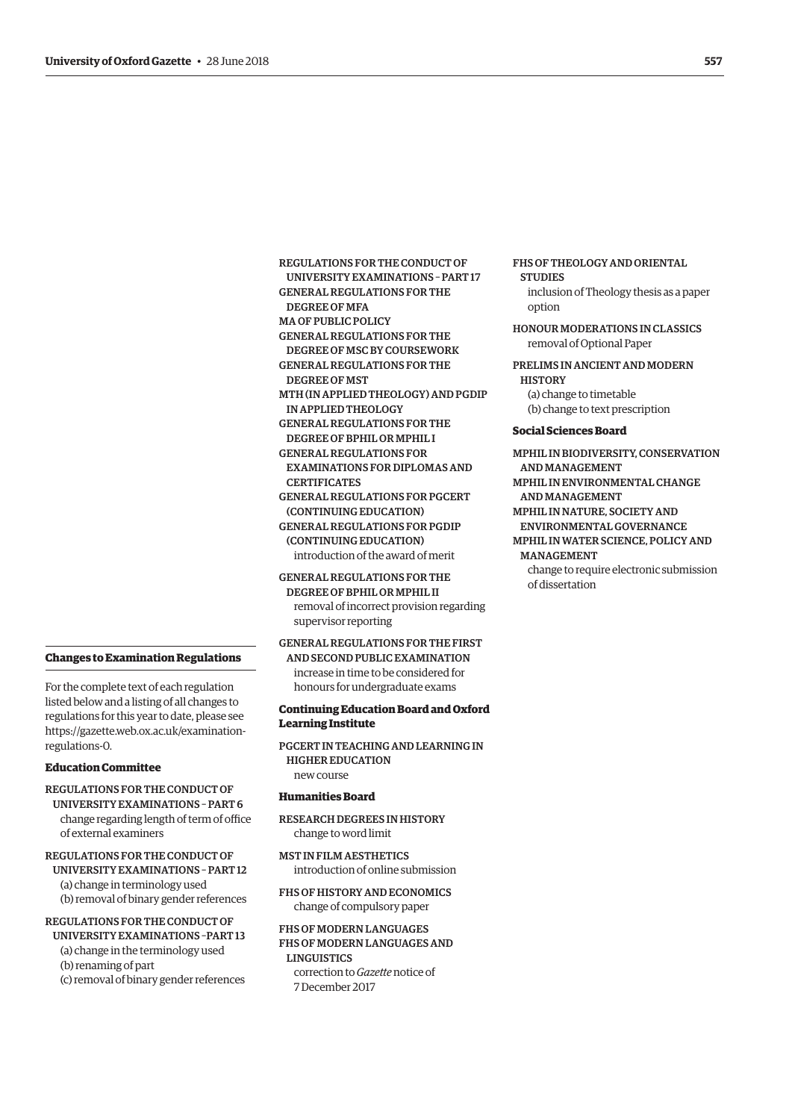**Changes to Examination Regulations** 

For the complete text of each regulation listed below and a listing of all changes to regulations for this year to date, please see [https://gazette.web.ox.ac.uk/examination](https://gazette.web.ox.ac.uk/examination-regulations-0)regulations-0.

#### **Education Committee**

REGULATIONS FOR THE CONDUCT OF UNIVERSITY EXAMINATIONS – PART 6 change regarding length of term of office of external examiners

REGULATIONS FOR THE CONDUCT OF UNIVERSITY EXAMINATIONS – PART 12 (a) change in terminology used (b) removal of binary gender references

REGULATIONS FOR THE CONDUCT OF UNIVERSITY EXAMINATIONS –PART 13 (a) change in the terminology used (b) renaming of part (c) removal of binary gender references

- REGULATIONS FOR THE CONDUCT OF UNIVERSITY EXAMINATIONS – PART 17 GENERAL REGULATIONS FOR THE DEGREE OF MFA MA OF PUBLIC POLICY GENERAL REGULATIONS FOR THE DEGREE OF MSC BY COURSEWORK GENERAL REGULATIONS FOR THE DEGREE OF MST MTH (IN APPLIED THEOLOGY) AND PGDIP IN APPLIED THEOLOGY GENERAL REGULATIONS FOR THE DEGREE OF BPHIL OR MPHIL I GENERAL REGULATIONS FOR EXAMINATIONS FOR DIPLOMAS AND **CERTIFICATES** GENERAL REGULATIONS FOR PGCERT (CONTINUING EDUCATION) GENERAL REGULATIONS FOR PGDIP (CONTINUING EDUCATION) introduction of the award of merit GENERAL REGULATIONS FOR THE
	- DEGREE OF BPHIL OR MPHIL II removal of incorrect provision regarding supervisor reporting

GENERAL REGULATIONS FOR THE FIRST

AND SECOND PUBLIC EXAMINATION increase in time to be considered for honours for undergraduate exams

#### **Continuing Education Board and Oxford Learning Institute**

PGCERT IN TEACHING AND LEARNING IN HIGHER EDUCATION new course

#### **Humanities Board**

RESEARCH DEGREES IN HISTORY change to word limit

MST IN FILM AESTHETICS introduction of online submission

FHS OF HISTORY AND ECONOMICS change of compulsory paper

FHS OF MODERN LANGUAGES FHS OF MODERN LANGUAGES AND **LINGUISTICS** correction to *Gazette* notice of 7 December 2017

#### FHS OF THEOLOGY AND ORIENTAL **STUDIES**

inclusion of Theology thesis as a paper option

HONOUR MODERATIONS IN CLASSICS removal of Optional Paper

PRELIMS IN ANCIENT AND MODERN **HISTORY** (a) change to timetable (b) change to text prescription

#### **Social Sciences Board**

MPHIL IN BIODIVERSITY, CONSERVATION AND MANAGEMENT MPHIL IN ENVIRONMENTAL CHANGE AND MANAGEMENT MPHIL IN NATURE, SOCIETY AND ENVIRONMENTAL GOVERNANCE MPHIL IN WATER SCIENCE, POLICY AND MANAGEMENT change to require electronic submission of dissertation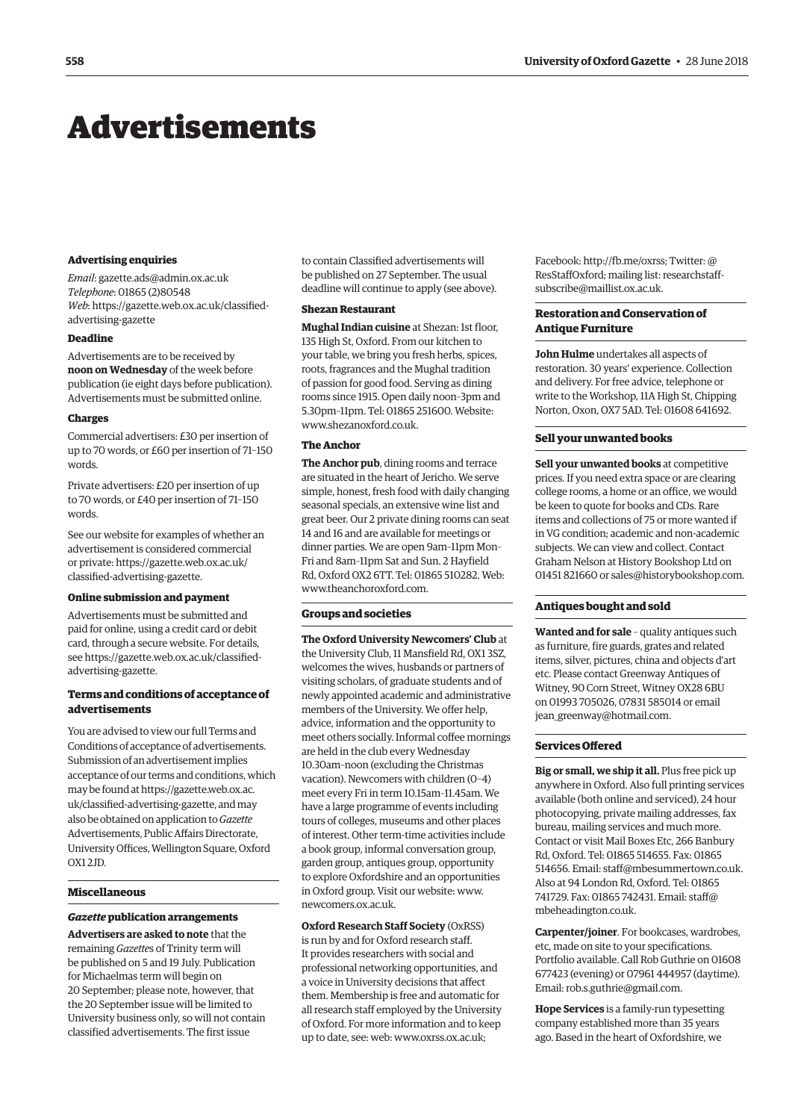## <span id="page-5-0"></span>Advertisements

#### **Advertising enquiries**

*Email*: [gazette.ads@admin.ox.ac.uk](mailto:gazette.ads@admin.ox.ac.uk) *Telephone*: 01865 (2)80548 *Web*[: https://gazette.web.ox.ac.uk/classified](https://gazette.web.ox.ac.uk/classified-advertising-gazette)advertising-gazette

#### **Deadline**

Advertisements are to be received by **noon on Wednesday** of the week before publication (ie eight days before publication). Advertisements must be submitted online.

#### **Charges**

Commercial advertisers: £30 per insertion of up to 70 words, or £60 per insertion of 71–150 words.

Private advertisers: £20 per insertion of up to 70 words, or £40 per insertion of 71–150 words.

See our website for examples of whether an advertisement is considered commercial [or private: https://gazette.web.ox.ac.uk/](https://gazette.web.ox.ac.uk/classified-advertising-gazette) classified-advertising-gazette.

#### **Online submission and payment**

Advertisements must be submitted and paid for online, using a credit card or debit card, through a secure website. For details, [see https://gazette.web.ox.ac.uk/classified](https://gazette.web.ox.ac.uk/classified-advertising-gazette)advertising-gazette.

#### **Terms and conditions of acceptance of advertisements**

You are advised to view our full Terms and Conditions of acceptance of advertisements. Submission of an advertisement implies acceptance of our terms and conditions, which may be found at https://gazette.web.ox.ac. [uk/classified-advertising-gazette, and may](https://gazette.web.ox.ac.uk/classified-advertising-gazette)  also be obtained on application to *Gazette* Advertisements, Public Affairs Directorate, University Offices, Wellington Square, Oxford OX1 2JD.

#### **Miscellaneous**

#### *Gazette* **publication arrangements**

**Advertisers are asked to note** that the remaining *Gazette*s of Trinity term will be published on 5 and 19 July. Publication for Michaelmas term will begin on 20 September; please note, however, that the 20 September issue will be limited to University business only, so will not contain classified advertisements. The first issue

to contain Classified advertisements will be published on 27 September. The usual deadline will continue to apply (see above).

#### **Shezan Restaurant**

**Mughal Indian cuisine** at Shezan: 1st floor, 135 High St, Oxford. From our kitchen to your table, we bring you fresh herbs, spices, roots, fragrances and the Mughal tradition of passion for good food. Serving as dining rooms since 1915. Open daily noon–3pm and 5.30pm–11pm. Tel: 01865 251600. Website: [www.shezanoxford.co.uk.](http://www.shezanoxford.co.uk)

#### **The Anchor**

**The Anchor pub**, dining rooms and terrace are situated in the heart of Jericho. We serve simple, honest, fresh food with daily changing seasonal specials, an extensive wine list and great beer. Our 2 private dining rooms can seat 14 and 16 and are available for meetings or dinner parties. We are open 9am–11pm Mon– Fri and 8am–11pm Sat and Sun. 2 Hayfield Rd, Oxford OX2 6TT. Tel: 01865 510282. Web: [www.theanchoroxford.com.](http://www.theanchoroxford.com)

#### **Groups and societies**

**The Oxford University Newcomers' Club** at the University Club, 11 Mansfield Rd, OX1 3SZ, welcomes the wives, husbands or partners of visiting scholars, of graduate students and of newly appointed academic and administrative members of the University. We offer help, advice, information and the opportunity to meet others socially. Informal coffee mornings are held in the club every Wednesday 10.30am–noon (excluding the Christmas vacation). Newcomers with children (0–4) meet every Fri in term 10.15am–11.45am. We have a large programme of events including tours of colleges, museums and other places of interest. Other term-time activities include a book group, informal conversation group, garden group, antiques group, opportunity to explore Oxfordshire and an opportunities in Oxford group. Visit our website: [www.](http://www.newcomers.ox.ac.uk) [newcomers.ox.ac.uk.](http://www.newcomers.ox.ac.uk) 

**Oxford Research Staff Society** (OxRSS) is run by and for Oxford research staff. It provides researchers with social and professional networking opportunities, and a voice in University decisions that affect them. Membership is free and automatic for all research staff employed by the University of Oxford. For more information and to keep up to date, see: web: [www.oxrss.ox.ac.uk;](http://www.oxrss.ox.ac.uk) 

Facebook: [http://fb.me/oxrss; Tw](http://fb.me/oxrss)itter: @ [ResStaffOxford; mailing list: researchstaff](mailto:researchstaff-subscribe@maillist.ox.ac.uk)subscribe@maillist.ox.ac.uk.

#### **Restoration and Conservation of Antique Furniture**

**John Hulme** undertakes all aspects of restoration. 30 years' experience. Collection and delivery. For free advice, telephone or write to the Workshop, 11A High St, Chipping Norton, Oxon, OX7 5AD. Tel: 01608 641692.

#### **Sell your unwanted books**

**Sell your unwanted books** at competitive prices. If you need extra space or are clearing college rooms, a home or an office, we would be keen to quote for books and CDs. Rare items and collections of 75 or more wanted if in VG condition; academic and non-academic subjects. We can view and collect. Contact Graham Nelson at History Bookshop Ltd on 01451 821660 or [sales@historybookshop.com.](mailto:sales@historybookshop.com)

#### **Antiques bought and sold**

**Wanted and for sale** – quality antiques such as furniture, fire guards, grates and related items, silver, pictures, china and objects d'art etc. Please contact Greenway Antiques of Witney, 90 Corn Street, Witney OX28 6BU on 01993 705026, 07831 585014 or email [jean\\_greenway@hotmail.com.](mailto:jean_greenway@hotmail.com)

#### **Services Offered**

**Big or small, we ship it all.** Plus free pick up anywhere in Oxford. Also full printing services available (both online and serviced), 24 hour photocopying, private mailing addresses, fax bureau, mailing services and much more. Contact or visit Mail Boxes Etc, 266 Banbury Rd, Oxford. Tel: 01865 514655. Fax: 01865 514656. Email: [staff@mbesummertown.co.uk.](mailto:staff@mbesummertown.co.uk)  Also at 94 London Rd, Oxford. Tel: 01865 [741729. Fax: 01865 742431. Email: staff@](mailto:staff@mbeheadington.co.uk) mbeheadington.co.uk.

**Carpenter/joiner**. For bookcases, wardrobes, etc, made on site to your specifications. Portfolio available. Call Rob Guthrie on 01608 677423 (evening) or 07961 444957 (daytime). Email: [rob.s.guthrie@gmail.com.](mailto:rob.s.guthrie@gmail.com) 

**Hope Services** is a family-run typesetting company established more than 35 years ago. Based in the heart of Oxfordshire, we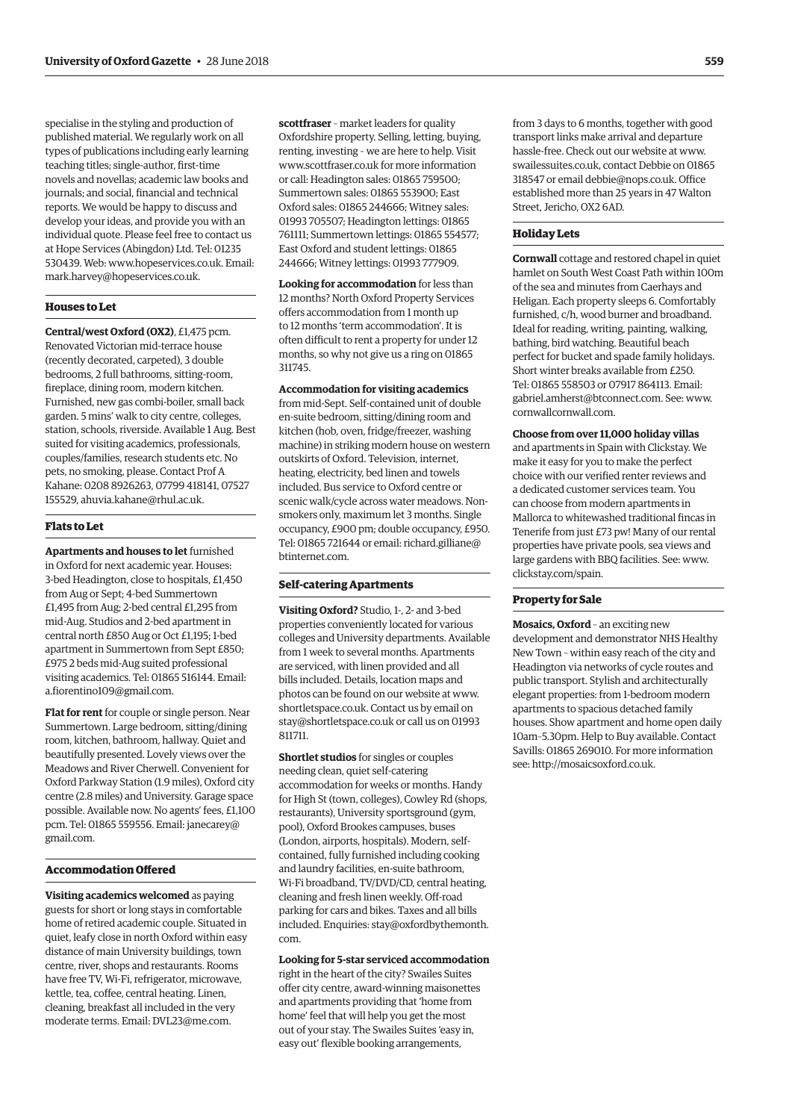specialise in the styling and production of published material. We regularly work on all types of publications including early learning teaching titles; single-author, first-time novels and novellas; academic law books and journals; and social, financial and technical reports. We would be happy to discuss and develop your ideas, and provide you with an individual quote. Please feel free to contact us at Hope Services (Abingdon) Ltd. Tel: 01235 530439. Web: [www.hopeservices.co.uk. Em](http://www.hopeservices.co.uk)ail: [mark.harvey@hopeservices.co.uk.](mailto:mark.harvey@hopeservices.co.uk)

#### **Houses to Let**

**Central/west Oxford (OX2)**, £1,475 pcm. Renovated Victorian mid-terrace house (recently decorated, carpeted), 3 double bedrooms, 2 full bathrooms, sitting-room, fireplace, dining room, modern kitchen. Furnished, new gas combi-boiler, small back garden. 5 mins' walk to city centre, colleges, station, schools, riverside. Available 1 Aug. Best suited for visiting academics, professionals, couples/families, research students etc. No pets, no smoking, please. Contact Prof A Kahane: 0208 8926263, 07799 418141, 07527 155529, [ahuvia.kahane@rhul.ac.uk.](mailto:ahuvia.kahane@rhul.ac.uk)

#### **Flats to Let**

**Apartments and houses to let** furnished in Oxford for next academic year. Houses: 3-bed Headington, close to hospitals, £1,450 from Aug or Sept; 4-bed Summertown £1,495 from Aug; 2-bed central £1,295 from mid-Aug. Studios and 2-bed apartment in central north £850 Aug or Oct £1,195; 1-bed apartment in Summertown from Sept £850; £975 2 beds mid-Aug suited professional visiting academics. Tel: 01865 516144. Email: [a.fiorentino109@gmail.com.](mailto:a.fiorentino109@gmail.com)

**Flat for rent** for couple or single person. Near Summertown. Large bedroom, sitting/dining room, kitchen, bathroom, hallway. Quiet and beautifully presented. Lovely views over the Meadows and River Cherwell. Convenient for Oxford Parkway Station (1.9 miles), Oxford city centre (2.8 miles) and University. Garage space possible. Available now. No agents' fees, £1,100 [pcm. Tel: 01865 559556. Email: janecarey@](mailto:janecarey@gmail.com) gmail.com.

#### **Accommodation Offered**

**Visiting academics welcomed** as paying guests for short or long stays in comfortable home of retired academic couple. Situated in quiet, leafy close in north Oxford within easy distance of main University buildings, town centre, river, shops and restaurants. Rooms have free TV, Wi-Fi, refrigerator, microwave, kettle, tea, coffee, central heating. Linen, cleaning, breakfast all included in the very moderate terms. Email: [DVL23@me.com.](mailto:DVL23@me.com)

**scottfraser** – market leaders for quality Oxfordshire property. Selling, letting, buying, renting, investing – we are here to help. Visit [www.scottfraser.co.uk fo](http://www.scottfraser.co.uk)r more information or call: Headington sales: 01865 759500; Summertown sales: 01865 553900; East Oxford sales: 01865 244666; Witney sales: 01993 705507; Headington lettings: 01865 761111; Summertown lettings: 01865 554577; East Oxford and student lettings: 01865 244666; Witney lettings: 01993 777909.

**Looking for accommodation** for less than 12 months? North Oxford Property Services offers accommodation from 1 month up to 12 months 'term accommodation'. It is often difficult to rent a property for under 12 months, so why not give us a ring on 01865 311745.

#### **Accommodation for visiting academics**

from mid-Sept. Self-contained unit of double en-suite bedroom, sitting/dining room and kitchen (hob, oven, fridge/freezer, washing machine) in striking modern house on western outskirts of Oxford. Television, internet, heating, electricity, bed linen and towels included. Bus service to Oxford centre or scenic walk/cycle across water meadows. Nonsmokers only, maximum let 3 months. Single occupancy, £900 pm; double occupancy, £950. [Tel: 01865 721644 or email: richard.gilliane@](mailto:richard.gilliane@btinternet.com) btinternet.com.

#### **Self-catering Apartments**

**Visiting Oxford?** Studio, 1-, 2- and 3-bed properties conveniently located for various colleges and University departments. Available from 1 week to several months. Apartments are serviced, with linen provided and all bills included. Details, location maps and photos can be found on our website at [www.](http://www.shortletspace.co.uk) [shortletspace.co.uk. Co](http://www.shortletspace.co.uk)ntact us by email on [stay@shortletspace.co.uk or](mailto:stay@shortletspace.co.uk) call us on 01993 811711.

**Shortlet studios** for singles or couples needing clean, quiet self-catering accommodation for weeks or months. Handy for High St (town, colleges), Cowley Rd (shops, restaurants), University sportsground (gym, pool), Oxford Brookes campuses, buses (London, airports, hospitals). Modern, selfcontained, fully furnished including cooking and laundry facilities, en-suite bathroom, Wi-Fi broadband, TV/DVD/CD, central heating, cleaning and fresh linen weekly. Off-road parking for cars and bikes. Taxes and all bills [included. Enquiries: stay@oxfordbythemonth.](mailto:stay@oxfordbythemonth.com) com.

#### **Looking for 5-star serviced accommodation**

right in the heart of the city? Swailes Suites offer city centre, award-winning maisonettes and apartments providing that 'home from home' feel that will help you get the most out of your stay. The Swailes Suites 'easy in, easy out' flexible booking arrangements,

from 3 days to 6 months, together with good transport links make arrival and departure hassle-free. Check out our website at [www.](http://www.swailessuites.co.uk) [swailessuites.co.uk, co](http://www.swailessuites.co.uk)ntact Debbie on 01865 318547 or email [debbie@nops.co.uk. Of](mailto:debbie@nops.co.uk)fice established more than 25 years in 47 Walton Street, Jericho, OX2 6AD.

#### **Holiday Lets**

**Cornwall** cottage and restored chapel in quiet hamlet on South West Coast Path within 100m of the sea and minutes from Caerhays and Heligan. Each property sleeps 6. Comfortably furnished, c/h, wood burner and broadband. Ideal for reading, writing, painting, walking, bathing, bird watching. Beautiful beach perfect for bucket and spade family holidays. Short winter breaks available from £250. Tel: 01865 558503 or 07917 864113. Email: [gabriel.amherst@btconnect.com. Se](mailto:gabriel.amherst@btconnect.com)e: [www.](http://www.cornwallcornwall.com) [cornwallcornwall.com.](http://www.cornwallcornwall.com)

#### **Choose from over 11,000 holiday villas**

and apartments in Spain with Clickstay. We make it easy for you to make the perfect choice with our verified renter reviews and a dedicated customer services team. You can choose from modern apartments in Mallorca to whitewashed traditional fincas in Tenerife from just £73 pw! Many of our rental properties have private pools, sea views and large gardens with BBQ facilities. See: [www.](http://www.clickstay.com/spain) [clickstay.com/spain.](http://www.clickstay.com/spain)

#### **Property for Sale**

**Mosaics, Oxford** – an exciting new development and demonstrator NHS Healthy New Town – within easy reach of the city and Headington via networks of cycle routes and public transport. Stylish and architecturally elegant properties: from 1-bedroom modern apartments to spacious detached family houses. Show apartment and home open daily 10am–5.30pm. Help to Buy available. Contact Savills: 01865 269010. For more information see: [http://mosaicsoxford.co.uk.](http://mosaicsoxford.co.uk)